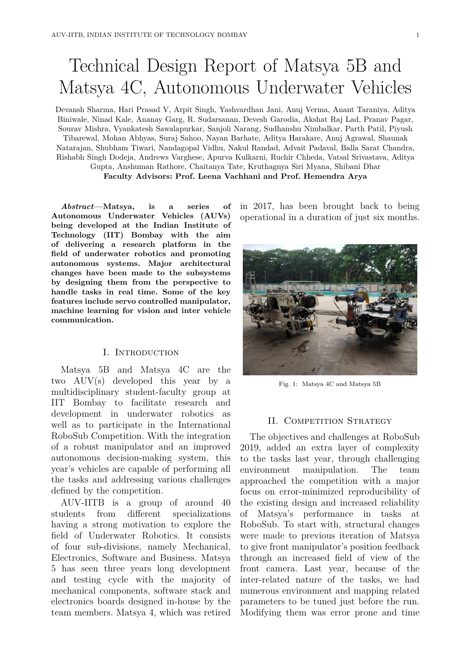# Technical Design Report of Matsya 5B and Matsya 4C, Autonomous Underwater Vehicles

Devansh Sharma, Hari Prasad V, Arpit Singh, Yashvardhan Jani, Anuj Verma, Anant Taraniya, Aditya Biniwale, Ninad Kale, Ananay Garg, R. Sudarsanan, Devesh Garodia, Akshat Raj Lad, Pranav Pagar, Sourav Mishra, Vyankatesh Sawalapurkar, Sanjoli Narang, Sudhanshu Nimbalkar, Parth Patil, Piyush Tibarewal, Mohan Abhyas, Suraj Sahoo, Nayan Barhate, Aditya Harakare, Anuj Agrawal, Shaunak Natarajan, Shubham Tiwari, Nandagopal Vidhu, Nakul Randad, Advait Padaval, Balla Sarat Chandra, Rishabh Singh Dodeja, Andrews Varghese, Apurva Kulkarni, Ruchir Chheda, Vatsal Srivastava, Aditya Gupta, Anshuman Rathore, Chaitanya Tate, Kruthagnya Siri Myana, Shibani Dhar

**Faculty Advisors: Prof. Leena Vachhani and Prof. Hemendra Arya**

*Abstract***—Matsya, is a series of Autonomous Underwater Vehicles (AUVs) being developed at the Indian Institute of Technology (IIT) Bombay with the aim of delivering a research platform in the field of underwater robotics and promoting autonomous systems. Major architectural changes have been made to the subsystems by designing them from the perspective to handle tasks in real time. Some of the key features include servo controlled manipulator, machine learning for vision and inter vehicle communication.**

# I. INTRODUCTION

Matsya 5B and Matsya 4C are the two AUV(s) developed this year by a multidisciplinary student-faculty group at IIT Bombay to facilitate research and development in underwater robotics as well as to participate in the International RoboSub Competition. With the integration of a robust manipulator and an improved autonomous decision-making system, this year's vehicles are capable of performing all the tasks and addressing various challenges defined by the competition.

AUV-IITB is a group of around 40 students from different specializations having a strong motivation to explore the field of Underwater Robotics. It consists of four sub-divisions, namely Mechanical, Electronics, Software and Business. Matsya 5 has seen three years long development and testing cycle with the majority of mechanical components, software stack and electronics boards designed in-house by the team members. Matsya 4, which was retired

in 2017, has been brought back to being operational in a duration of just six months.



Fig. 1: Matsya 4C and Matsya 5B

#### II. COMPETITION STRATEGY

The objectives and challenges at RoboSub 2019, added an extra layer of complexity to the tasks last year, through challenging environment manipulation. The team approached the competition with a major focus on error-minimized reproducibility of the existing design and increased reliability of Matsya's performance in tasks at RoboSub. To start with, structural changes were made to previous iteration of Matsya to give front manipulator's position feedback through an increased field of view of the front camera. Last year, because of the inter-related nature of the tasks, we had numerous environment and mapping related parameters to be tuned just before the run. Modifying them was error prone and time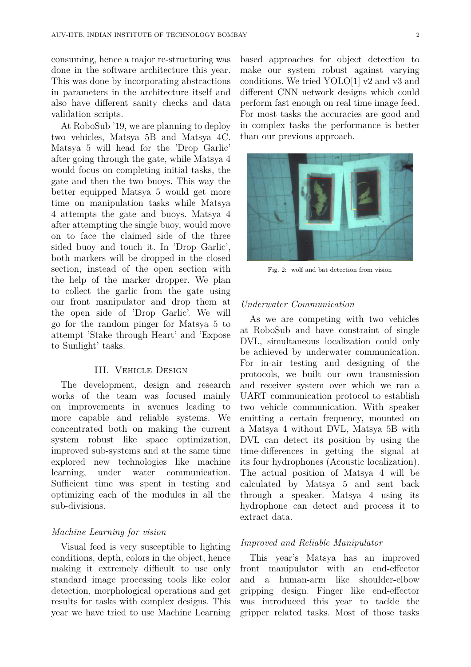consuming, hence a major re-structuring was done in the software architecture this year. This was done by incorporating abstractions in parameters in the architecture itself and also have different sanity checks and data validation scripts.

At RoboSub '19, we are planning to deploy two vehicles, Matsya 5B and Matsya 4C. Matsya 5 will head for the 'Drop Garlic' after going through the gate, while Matsya 4 would focus on completing initial tasks, the gate and then the two buoys. This way the better equipped Matsya 5 would get more time on manipulation tasks while Matsya 4 attempts the gate and buoys. Matsya 4 after attempting the single buoy, would move on to face the claimed side of the three sided buoy and touch it. In 'Drop Garlic', both markers will be dropped in the closed section, instead of the open section with the help of the marker dropper. We plan to collect the garlic from the gate using our front manipulator and drop them at the open side of 'Drop Garlic'. We will go for the random pinger for Matsya 5 to attempt 'Stake through Heart' and 'Expose to Sunlight' tasks.

#### III. Vehicle Design

The development, design and research works of the team was focused mainly on improvements in avenues leading to more capable and reliable systems. We concentrated both on making the current system robust like space optimization, improved sub-systems and at the same time explored new technologies like machine learning, under water communication. Sufficient time was spent in testing and optimizing each of the modules in all the sub-divisions.

# *Machine Learning for vision*

Visual feed is very susceptible to lighting conditions, depth, colors in the object, hence making it extremely difficult to use only standard image processing tools like color detection, morphological operations and get results for tasks with complex designs. This year we have tried to use Machine Learning based approaches for object detection to make our system robust against varying conditions. We tried YOLO[1] v2 and v3 and different CNN network designs which could perform fast enough on real time image feed. For most tasks the accuracies are good and in complex tasks the performance is better than our previous approach.



Fig. 2: wolf and bat detection from vision

#### *Underwater Communication*

As we are competing with two vehicles at RoboSub and have constraint of single DVL, simultaneous localization could only be achieved by underwater communication. For in-air testing and designing of the protocols, we built our own transmission and receiver system over which we ran a UART communication protocol to establish two vehicle communication. With speaker emitting a certain frequency, mounted on a Matsya 4 without DVL, Matsya 5B with DVL can detect its position by using the time-differences in getting the signal at its four hydrophones (Acoustic localization). The actual position of Matsya 4 will be calculated by Matsya 5 and sent back through a speaker. Matsya 4 using its hydrophone can detect and process it to extract data.

# *Improved and Reliable Manipulator*

This year's Matsya has an improved front manipulator with an end-effector and a human-arm like shoulder-elbow gripping design. Finger like end-effector was introduced this year to tackle the gripper related tasks. Most of those tasks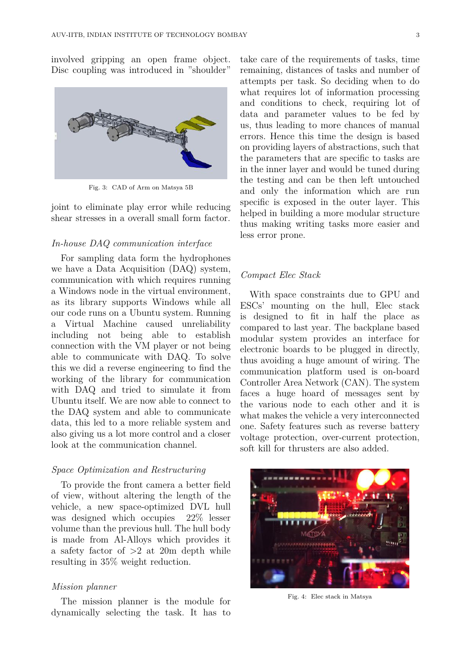involved gripping an open frame object. Disc coupling was introduced in "shoulder"



Fig. 3: CAD of Arm on Matsya 5B

joint to eliminate play error while reducing shear stresses in a overall small form factor.

#### *In-house DAQ communication interface*

For sampling data form the hydrophones we have a Data Acquisition (DAQ) system, communication with which requires running a Windows node in the virtual environment, as its library supports Windows while all our code runs on a Ubuntu system. Running a Virtual Machine caused unreliability including not being able to establish connection with the VM player or not being able to communicate with DAQ. To solve this we did a reverse engineering to find the working of the library for communication with DAQ and tried to simulate it from Ubuntu itself. We are now able to connect to the DAQ system and able to communicate data, this led to a more reliable system and also giving us a lot more control and a closer look at the communication channel.

#### *Space Optimization and Restructuring*

To provide the front camera a better field of view, without altering the length of the vehicle, a new space-optimized DVL hull was designed which occupies 22% lesser volume than the previous hull. The hull body is made from Al-Alloys which provides it a safety factor of *>*2 at 20m depth while resulting in 35% weight reduction.

#### *Mission planner*

The mission planner is the module for dynamically selecting the task. It has to

take care of the requirements of tasks, time remaining, distances of tasks and number of attempts per task. So deciding when to do what requires lot of information processing and conditions to check, requiring lot of data and parameter values to be fed by us, thus leading to more chances of manual errors. Hence this time the design is based on providing layers of abstractions, such that the parameters that are specific to tasks are in the inner layer and would be tuned during the testing and can be then left untouched and only the information which are run specific is exposed in the outer layer. This helped in building a more modular structure thus making writing tasks more easier and less error prone.

#### *Compact Elec Stack*

With space constraints due to GPU and ESCs' mounting on the hull, Elec stack is designed to fit in half the place as compared to last year. The backplane based modular system provides an interface for electronic boards to be plugged in directly, thus avoiding a huge amount of wiring. The communication platform used is on-board Controller Area Network (CAN). The system faces a huge hoard of messages sent by the various node to each other and it is what makes the vehicle a very interconnected one. Safety features such as reverse battery voltage protection, over-current protection, soft kill for thrusters are also added.



Fig. 4: Elec stack in Matsya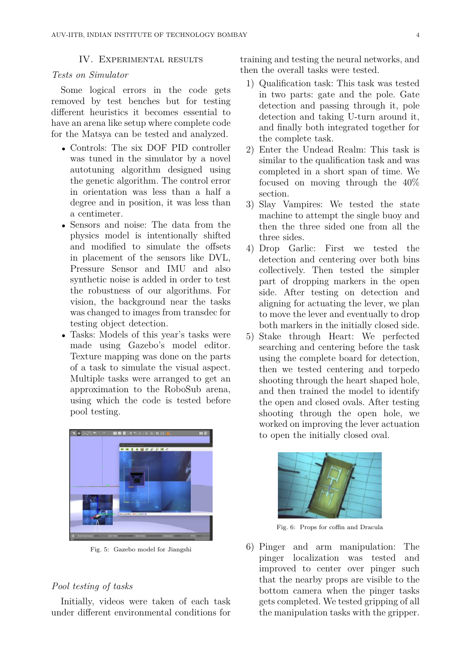# IV. Experimental results

# *Tests on Simulator*

Some logical errors in the code gets removed by test benches but for testing different heuristics it becomes essential to have an arena like setup where complete code for the Matsya can be tested and analyzed.

- Controls: The six DOF PID controller was tuned in the simulator by a novel autotuning algorithm designed using the genetic algorithm. The control error in orientation was less than a half a degree and in position, it was less than a centimeter.
- Sensors and noise: The data from the physics model is intentionally shifted and modified to simulate the offsets in placement of the sensors like DVL, Pressure Sensor and IMU and also synthetic noise is added in order to test the robustness of our algorithms. For vision, the background near the tasks was changed to images from transdec for testing object detection.
- Tasks: Models of this year's tasks were made using Gazebo's model editor. Texture mapping was done on the parts of a task to simulate the visual aspect. Multiple tasks were arranged to get an approximation to the RoboSub arena, using which the code is tested before pool testing.



Fig. 5: Gazebo model for Jiangshi

#### *Pool testing of tasks*

Initially, videos were taken of each task under different environmental conditions for

training and testing the neural networks, and then the overall tasks were tested.

- 1) Qualification task: This task was tested in two parts: gate and the pole. Gate detection and passing through it, pole detection and taking U-turn around it, and finally both integrated together for the complete task.
- 2) Enter the Undead Realm: This task is similar to the qualification task and was completed in a short span of time. We focused on moving through the 40% section.
- 3) Slay Vampires: We tested the state machine to attempt the single buoy and then the three sided one from all the three sides.
- 4) Drop Garlic: First we tested the detection and centering over both bins collectively. Then tested the simpler part of dropping markers in the open side. After testing on detection and aligning for actuating the lever, we plan to move the lever and eventually to drop both markers in the initially closed side.
- 5) Stake through Heart: We perfected searching and centering before the task using the complete board for detection, then we tested centering and torpedo shooting through the heart shaped hole, and then trained the model to identify the open and closed ovals. After testing shooting through the open hole, we worked on improving the lever actuation to open the initially closed oval.



Fig. 6: Props for coffin and Dracula

6) Pinger and arm manipulation: The pinger localization was tested and improved to center over pinger such that the nearby props are visible to the bottom camera when the pinger tasks gets completed. We tested gripping of all the manipulation tasks with the gripper.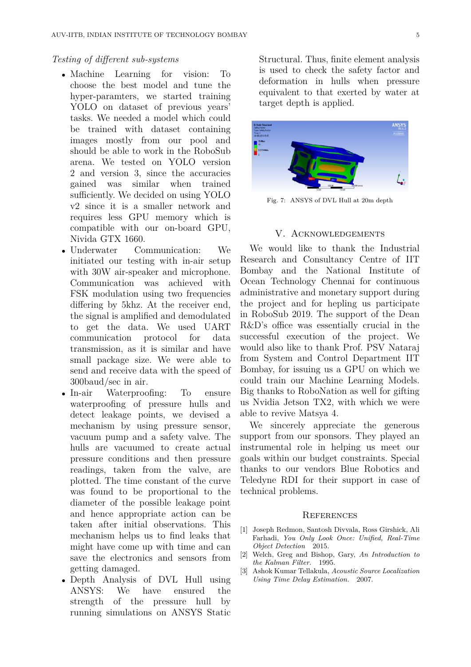# *Testing of different sub-systems*

- Machine Learning for vision: To choose the best model and tune the hyper-paramters, we started training YOLO on dataset of previous years' tasks. We needed a model which could be trained with dataset containing images mostly from our pool and should be able to work in the RoboSub arena. We tested on YOLO version 2 and version 3, since the accuracies gained was similar when trained sufficiently. We decided on using YOLO v2 since it is a smaller network and requires less GPU memory which is compatible with our on-board GPU, Nivida GTX 1660.
- Underwater Communication: We initiated our testing with in-air setup with 30W air-speaker and microphone. Communication was achieved with FSK modulation using two frequencies differing by 5khz. At the receiver end, the signal is amplified and demodulated to get the data. We used UART communication protocol for data transmission, as it is similar and have small package size. We were able to send and receive data with the speed of 300baud/sec in air.
- In-air Waterproofing: To ensure waterproofing of pressure hulls and detect leakage points, we devised a mechanism by using pressure sensor, vacuum pump and a safety valve. The hulls are vacuumed to create actual pressure conditions and then pressure readings, taken from the valve, are plotted. The time constant of the curve was found to be proportional to the diameter of the possible leakage point and hence appropriate action can be taken after initial observations. This mechanism helps us to find leaks that might have come up with time and can save the electronics and sensors from getting damaged.
- Depth Analysis of DVL Hull using ANSYS: We have ensured the strength of the pressure hull by running simulations on ANSYS Static

Structural. Thus, finite element analysis is used to check the safety factor and deformation in hulls when pressure equivalent to that exerted by water at target depth is applied.



Fig. 7: ANSYS of DVL Hull at 20m depth

#### V. Acknowledgements

We would like to thank the Industrial Research and Consultancy Centre of IIT Bombay and the National Institute of Ocean Technology Chennai for continuous administrative and monetary support during the project and for hepling us participate in RoboSub 2019. The support of the Dean R&D's office was essentially crucial in the successful execution of the project. We would also like to thank Prof. PSV Nataraj from System and Control Department IIT Bombay, for issuing us a GPU on which we could train our Machine Learning Models. Big thanks to RoboNation as well for gifting us Nvidia Jetson TX2, with which we were able to revive Matsya 4.

We sincerely appreciate the generous support from our sponsors. They played an instrumental role in helping us meet our goals within our budget constraints. Special thanks to our vendors Blue Robotics and Teledyne RDI for their support in case of technical problems.

#### **REFERENCES**

- [1] Joseph Redmon, Santosh Divvala, Ross Girshick, Ali Farhadi, *You Only Look Once: Unified, Real-Time Object Detection* 2015.
- [2] Welch, Greg and Bishop, Gary, *An Introduction to the Kalman Filter.* 1995.
- [3] Ashok Kumar Tellakula, *Acoustic Source Localization Using Time Delay Estimation.* 2007.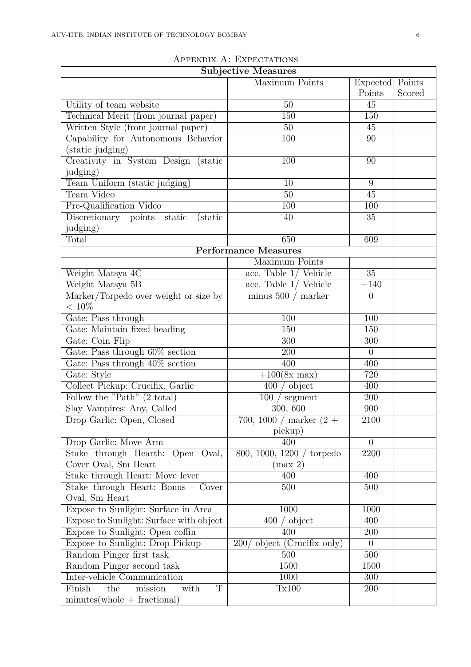| <b>Subjective Measures</b>                         |                                   |                 |        |  |  |
|----------------------------------------------------|-----------------------------------|-----------------|--------|--|--|
|                                                    | Maximum Points                    | Expected Points |        |  |  |
|                                                    |                                   | Points          | Scored |  |  |
| Utility of team website                            | 50                                | 45              |        |  |  |
| Technical Merit (from journal paper)               | $\overline{150}$                  | 150             |        |  |  |
| Written Style (from journal paper)                 | 50                                | 45              |        |  |  |
| Capability for Autonomous Behavior                 | 100                               | 90              |        |  |  |
| (static judging)                                   |                                   |                 |        |  |  |
| Creativity in System Design (static                | 100                               | 90              |        |  |  |
| judging)                                           |                                   |                 |        |  |  |
| Team Uniform (static judging)                      | 10                                | 9               |        |  |  |
| Team Video                                         | 50                                | 45              |        |  |  |
| Pre-Qualification Video                            | 100                               | 100             |        |  |  |
| Discretionary points static<br><i>(static)</i>     | $\overline{40}$                   | $\overline{35}$ |        |  |  |
| judging)                                           |                                   |                 |        |  |  |
| Total                                              | 650                               | 609             |        |  |  |
|                                                    | <b>Performance Measures</b>       |                 |        |  |  |
|                                                    | Maximum Points                    |                 |        |  |  |
| Weight Matsya 4C                                   | acc. Table $1/$ Vehicle           | $\overline{35}$ |        |  |  |
| Weight Matsya 5B                                   | acc. Table 1/ Vehicle             | $-140$          |        |  |  |
| Marker/Torpedo over weight or size by              | minus $500 / \text{marker}$       | $\theta$        |        |  |  |
| $<\,10\%$                                          |                                   |                 |        |  |  |
| Gate: Pass through                                 | 100                               | 100             |        |  |  |
| Gate: Maintain fixed heading                       | 150                               | 150             |        |  |  |
| Gate: Coin Flip                                    | 300                               | 300             |        |  |  |
| Gate: Pass through 60% section                     | 200                               | $\overline{0}$  |        |  |  |
| Gate: Pass through $40\%$ section                  | 400                               | 400             |        |  |  |
| Gate: Style                                        | $+100(8x \text{ max})$<br>720     |                 |        |  |  |
| Collect Pickup: Crucifix, Garlic                   | $400 /$ object<br>400             |                 |        |  |  |
| Follow the "Path" $(2 \text{ total})$              | $\overline{100/$ segment          | 200             |        |  |  |
| Slay Vampires: Any, Called                         | 300, 600<br>900                   |                 |        |  |  |
| Drop Garlic: Open, Closed                          | $700, 1000 / \text{ marker} (2 +$ | 2100            |        |  |  |
|                                                    | pickup)                           |                 |        |  |  |
| Drop Garlic: Move Arm                              | $\overline{400}$                  | $\overline{0}$  |        |  |  |
| Stake through Hearth: Open Oval,                   | $800, 1000, 1200 /$ torpedo       | 2200            |        |  |  |
| Cover Oval, Sm Heart                               | (max 2)                           |                 |        |  |  |
| Stake through Heart: Move lever                    | 400                               | 400             |        |  |  |
| Stake through Heart: Bonus - Cover                 | 500                               | 500             |        |  |  |
| Oval, Sm Heart                                     |                                   |                 |        |  |  |
| Expose to Sunlight: Surface in Area                | 1000                              | 1000            |        |  |  |
| Expose to Sunlight: Surface with object            | 400<br>$400 /$ object             |                 |        |  |  |
| Expose to Sunlight: Open coffin                    | 400<br>200                        |                 |        |  |  |
| Expose to Sunlight: Drop Pickup                    | object (Crucifix only)<br>200/    | $\overline{0}$  |        |  |  |
| Random Pinger first task                           | 500<br>500                        |                 |        |  |  |
| Random Pinger second task                          | 1500<br>1500                      |                 |        |  |  |
| Inter-vehicle Communication                        | 1000                              | 300             |        |  |  |
| $\overline{T}$<br>Finish<br>the<br>mission<br>with | Tx100                             | 200             |        |  |  |
| $minutes(whole + fractional)$                      |                                   |                 |        |  |  |

APPENDIX A: EXPECTATIONS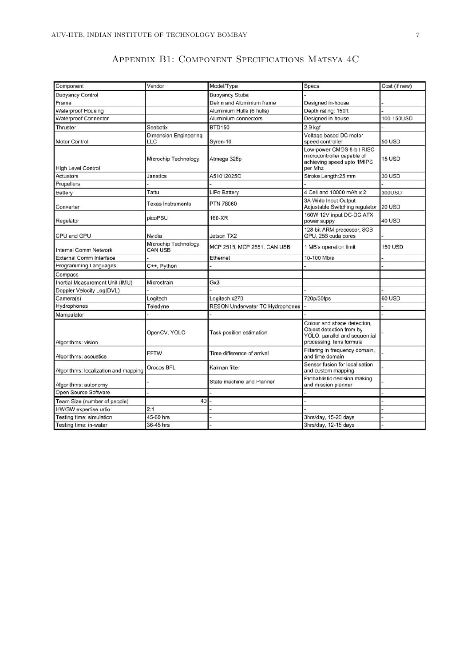| Component                            | Vendor                                  | Model/Type                             | Specs                                                                                                                | Cost (if new)  |
|--------------------------------------|-----------------------------------------|----------------------------------------|----------------------------------------------------------------------------------------------------------------------|----------------|
| <b>Buoyancy Control</b>              |                                         | <b>Buoyancy Stubs</b>                  |                                                                                                                      |                |
| Frame                                |                                         | Delrin and Aluminium frame             | Designed in-house                                                                                                    |                |
| <b>Waterproof Housing</b>            |                                         | Aluminium Hulls (6 hulls)              | Depth rating: 150ft                                                                                                  |                |
| <b>Waterproof Connector</b>          |                                         | Aluminium connectors                   | Designed in-house                                                                                                    | 100-150USD     |
| Thruster                             | Seabotix                                | <b>BTD150</b>                          | $2.9$ kgf                                                                                                            |                |
| <b>Motor Control</b>                 | <b>Dimension Engineering</b><br>LLC     | Syren-10                               | Voltage based DC motor<br>speed controller                                                                           | <b>50 USD</b>  |
| <b>High Level Control</b>            | Microchip Technology                    | Atmega 328p                            | Low-power CMOS 8-bit RISC<br>microcontroller capable of<br>achieving speed upto 1MIPS<br>per Mhz                     | 15 USD         |
| Actuators                            | Janatics                                | A51012025O                             | Stroke Length:25 mm                                                                                                  | <b>30 USD</b>  |
| Propellers                           |                                         |                                        |                                                                                                                      |                |
| Battery                              | Tattu                                   | <b>LiPo Battery</b>                    | 4 Cell and 10000 mAh x 2                                                                                             | 300USD         |
| Converter                            | <b>Texas Instruments</b>                | <b>PTN 78060</b>                       | 3A Wide Input Output<br>Adjustable Switching regulator                                                               | 20 USD         |
| Regulator                            | picoPSU                                 | 160-XR                                 | 160W 12V input DC-DC ATX<br>power suppy                                                                              | 40 USD         |
| CPU and GPU                          | Nvidia                                  | Jetson TX2                             | 128-bit ARM processor, 8GB<br>GPU, 256 cuda cores                                                                    |                |
| Internal Comm Network                | Microchip Technology,<br><b>CAN USB</b> | MCP 2515, MCP 2551, CAN USB            | 1 MB's operation limit                                                                                               | <b>150 USD</b> |
| <b>External Comm Interface</b>       |                                         | Ethernet                               | 10-100 Mb/s                                                                                                          |                |
| Programming Languages                | C++, Python                             |                                        |                                                                                                                      |                |
| Compass                              |                                         |                                        |                                                                                                                      |                |
| Inertial Measurement Unit (IMU)      | Microstrain                             | Gx3                                    |                                                                                                                      |                |
| Doppler Velocity Log(DVL)            |                                         |                                        |                                                                                                                      |                |
| Camera(s)                            | Logitech                                | Logitech c270                          | 720p/30fps                                                                                                           | 60 USD         |
| Hydrophones                          | Teledyne                                | <b>RESON Underwater TC Hydrophones</b> |                                                                                                                      |                |
| Manipulator                          |                                         |                                        |                                                                                                                      |                |
| Algorithms: vision                   | OpenCV, YOLO                            | Task position estimation               | Colour and shape detection,<br>Object detection from by<br>YOLO, parallel and sequential<br>processing, lens formula |                |
| Algorithms: acoustics                | FFTW                                    | Time difference of arrival             | Filtering in frequency domain,<br>and time domain                                                                    |                |
| Algorithms: localization and mapping | Orocos BFL                              | Kalman filter                          | Sensor fusion for localisation<br>and custom mapping                                                                 |                |
| Algorithms: autonomy                 |                                         | State machine and Planner              | Probablistic decision making<br>and mission planner                                                                  |                |
| Open Source Software                 |                                         |                                        |                                                                                                                      |                |
| Team Size (number of people)         | 40                                      |                                        |                                                                                                                      |                |
| HW/SW expertise ratio                | 2:1                                     |                                        |                                                                                                                      |                |
| Testing time: simulation             | 45-60 hrs                               |                                        | 3hrs/day, 15-20 days                                                                                                 |                |
| Testing time: in-water               | 36-45 hrs                               |                                        | 3hrs/day, 12-15 days                                                                                                 |                |

# Appendix B1: Component Specifications Matsya 4C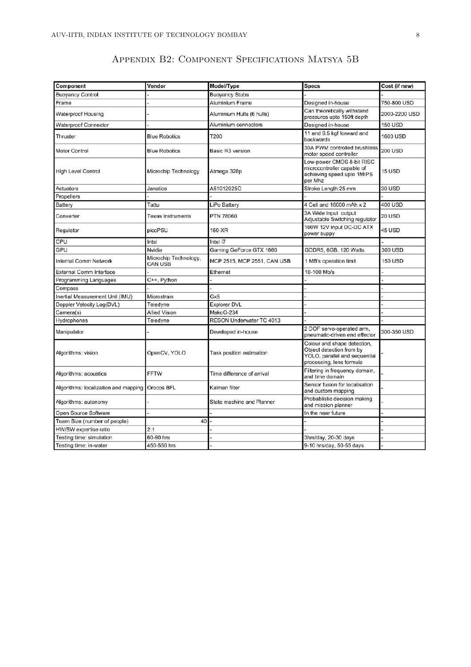|  | APPENDIX B2: COMPONENT SPECIFICATIONS MATSYA 5B |  |
|--|-------------------------------------------------|--|
|  |                                                 |  |

| Component                            | Vendor                                  | Model/Type                  | <b>Specs</b>                                                                                                         | Cost (if new)  |
|--------------------------------------|-----------------------------------------|-----------------------------|----------------------------------------------------------------------------------------------------------------------|----------------|
| <b>Buoyancy Control</b>              |                                         | <b>Buoyancy Stubs</b>       |                                                                                                                      |                |
| Frame                                |                                         | Aluminium Frame             | Designed in-house                                                                                                    | 750-800 USD    |
| <b>Waterproof Housing</b>            |                                         | Aluminium Hulls (6 hulls)   | Can theoretically withstand<br>pressures upto 150ft depth                                                            | 2000-2200 USD  |
| <b>Waterproof Connector</b>          |                                         | Aluminium connectors        | Designed in-house                                                                                                    | <b>150 USD</b> |
| Thruster                             | <b>Blue Robotics</b>                    | T200                        | 11 and 9.5 kgf forward and<br>backwards                                                                              | 1600 USD       |
| <b>Motor Control</b>                 | <b>Blue Robotics</b>                    | <b>Basic R3 version</b>     | 30A PWM controlled brushless<br>motor speed controller                                                               | <b>200 USD</b> |
| <b>High Level Control</b>            | Microchip Technology                    | Atmega 328p                 | Low-power CMOS 8-bit RISC<br>microcontroller capable of<br>achieving speed upto 1MIPS<br>per Mhz                     | 15 USD         |
| Actuators                            | Janatics                                | A51012025O                  | Stroke Length:25 mm                                                                                                  | 30 USD         |
| Propellers                           |                                         |                             |                                                                                                                      |                |
| Battery                              | Tattu                                   | LiPo Battery                | 4 Cell and 16000 mAh x 2                                                                                             | 400 USD        |
| Converter                            | <b>Texas Instruments</b>                | <b>PTN 78060</b>            | 3A Wide Input output<br>Adjustable Switching regulator                                                               | 20 USD         |
| Regulator                            | picoPSU                                 | 160-XR                      | 160W 12V input DC-DC ATX<br>power suppy                                                                              | 45 USD         |
| CPU                                  | Intel                                   | Intel i7                    |                                                                                                                      |                |
| GPU                                  | Nvidia                                  | Gaming GeForce GTX 1660     | GDDR5, 6GB, 120 Watts                                                                                                | 300 USD        |
| Internal Comm Network                | Microchip Technology,<br><b>CAN USB</b> | MCP 2515, MCP 2551, CAN USB | 1 MB's operation limit                                                                                               | <b>150 USD</b> |
| <b>External Comm Interface</b>       |                                         | Ethernet                    | 10-100 Mb/s                                                                                                          |                |
| Programming Languages                | C++, Python                             |                             |                                                                                                                      |                |
| Compass                              |                                         |                             |                                                                                                                      |                |
| Inertial Measurement Unit (IMU)      | Microstrain                             | Gx5                         |                                                                                                                      |                |
| Doppler Velocity Log(DVL)            | Teledyne                                | <b>Explorer DVL</b>         |                                                                                                                      |                |
| Camera(s)                            | <b>Allied Vision</b>                    | MakoG-234                   |                                                                                                                      |                |
| Hydrophones                          | Teledyne                                | RESON Underwater TC 4013    |                                                                                                                      |                |
| Manipulator                          |                                         | Developed in-house          | 2 DOF servo-operated arm,<br>pneumatic-driven end effector                                                           | 300-350 USD    |
| Algorithms: vision                   | OpenCV, YOLO                            | Task position estimation    | Colour and shape detection,<br>Object detection from by<br>YOLO, parallel and sequential<br>processing, lens formula |                |
| Algorithms: acoustics                | FFTW                                    | Time difference of arrival  | Filtering in frequency domain,<br>and time domain                                                                    |                |
| Algorithms: localization and mapping | Orocos BFL                              | Kalman filter               | Sensor fusion for localisation<br>and custom mapping                                                                 |                |
| Algorithms: autonomy                 |                                         | State machine and Planner   | Probablistic decision making<br>and mission planner                                                                  |                |
| Open Source Software                 |                                         |                             | In the near future                                                                                                   |                |
| Team Size (number of people)         | 40                                      |                             |                                                                                                                      |                |
| HW/SW expertise ratio                | 2:1                                     |                             |                                                                                                                      |                |
| Testing time: simulation             | 60-90 hrs                               |                             | 3hrs/day, 20-30 days                                                                                                 |                |
| Testing time: in-water               | 450-550 hrs                             |                             | 9-10 hrs/day, 50-55 days                                                                                             |                |